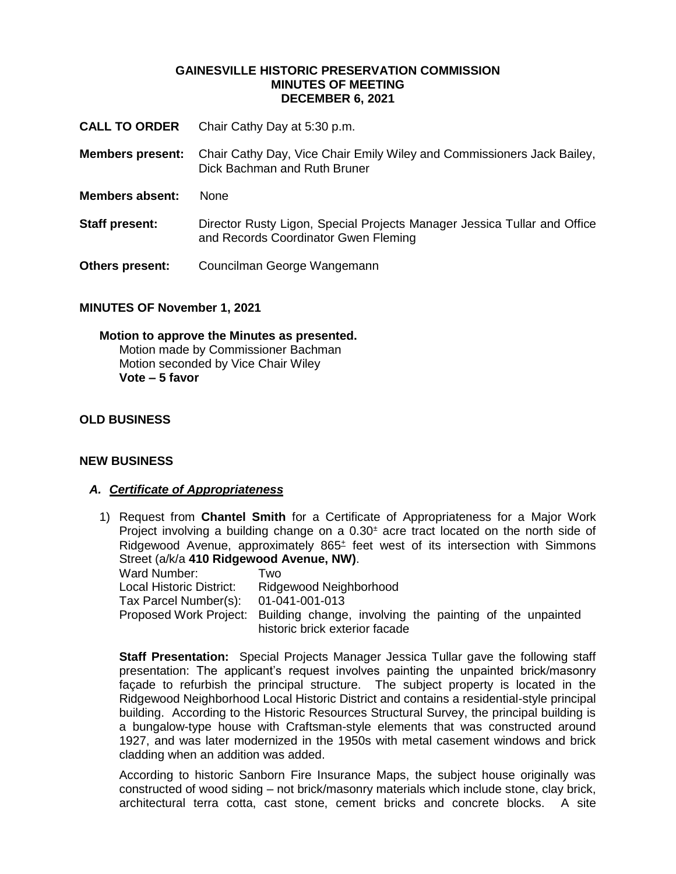### **GAINESVILLE HISTORIC PRESERVATION COMMISSION MINUTES OF MEETING DECEMBER 6, 2021**

**CALL TO ORDER** Chair Cathy Day at 5:30 p.m.

**Members present:** Chair Cathy Day, Vice Chair Emily Wiley and Commissioners Jack Bailey, Dick Bachman and Ruth Bruner

- **Members absent:** None
- **Staff present:** Director Rusty Ligon, Special Projects Manager Jessica Tullar and Office and Records Coordinator Gwen Fleming

**Others present:** Councilman George Wangemann

### **MINUTES OF November 1, 2021**

#### **Motion to approve the Minutes as presented.** Motion made by Commissioner Bachman Motion seconded by Vice Chair Wiley **Vote – 5 favor**

## **OLD BUSINESS**

### **NEW BUSINESS**

### *A. Certificate of Appropriateness*

1) Request from **Chantel Smith** for a Certificate of Appropriateness for a Major Work Project involving a building change on a  $0.30<sup>+</sup>$  acre tract located on the north side of Ridgewood Avenue, approximately 865<sup>+</sup> feet west of its intersection with Simmons Street (a/k/a **410 Ridgewood Avenue, NW)**.

| Ward Number:                         | Two                                                                             |
|--------------------------------------|---------------------------------------------------------------------------------|
| Local Historic District:             | Ridgewood Neighborhood                                                          |
| Tax Parcel Number(s): 01-041-001-013 |                                                                                 |
|                                      | Proposed Work Project: Building change, involving the painting of the unpainted |
|                                      | historic brick exterior facade                                                  |

**Staff Presentation:** Special Projects Manager Jessica Tullar gave the following staff presentation: The applicant's request involves painting the unpainted brick/masonry façade to refurbish the principal structure. The subject property is located in the Ridgewood Neighborhood Local Historic District and contains a residential-style principal building. According to the Historic Resources Structural Survey, the principal building is a bungalow-type house with Craftsman-style elements that was constructed around 1927, and was later modernized in the 1950s with metal casement windows and brick cladding when an addition was added.

According to historic Sanborn Fire Insurance Maps, the subject house originally was constructed of wood siding – not brick/masonry materials which include stone, clay brick, architectural terra cotta, cast stone, cement bricks and concrete blocks. A site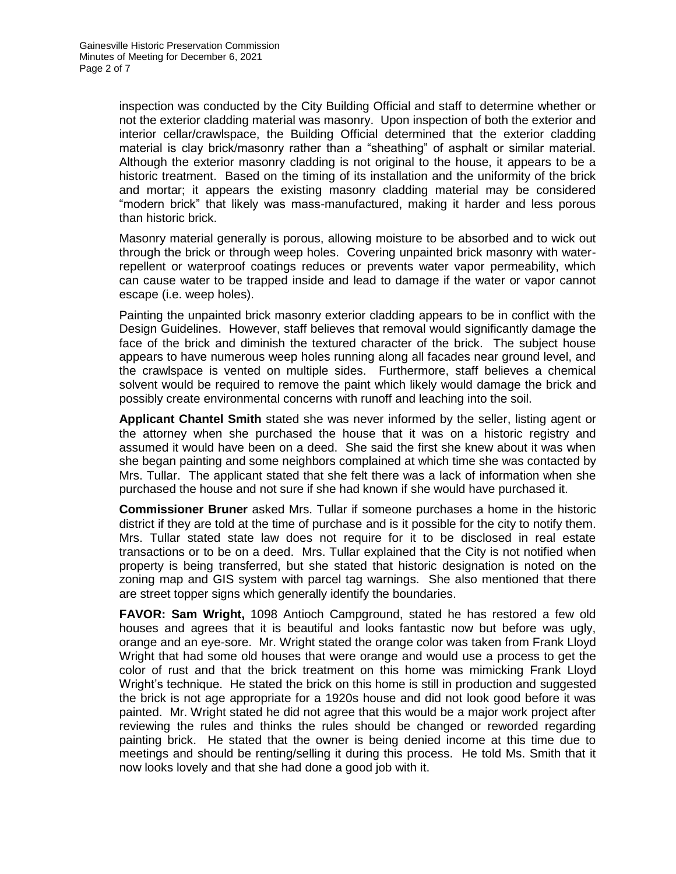inspection was conducted by the City Building Official and staff to determine whether or not the exterior cladding material was masonry. Upon inspection of both the exterior and interior cellar/crawlspace, the Building Official determined that the exterior cladding material is clay brick/masonry rather than a "sheathing" of asphalt or similar material. Although the exterior masonry cladding is not original to the house, it appears to be a historic treatment. Based on the timing of its installation and the uniformity of the brick and mortar; it appears the existing masonry cladding material may be considered "modern brick" that likely was mass-manufactured, making it harder and less porous than historic brick.

Masonry material generally is porous, allowing moisture to be absorbed and to wick out through the brick or through weep holes. Covering unpainted brick masonry with waterrepellent or waterproof coatings reduces or prevents water vapor permeability, which can cause water to be trapped inside and lead to damage if the water or vapor cannot escape (i.e. weep holes).

Painting the unpainted brick masonry exterior cladding appears to be in conflict with the Design Guidelines. However, staff believes that removal would significantly damage the face of the brick and diminish the textured character of the brick. The subject house appears to have numerous weep holes running along all facades near ground level, and the crawlspace is vented on multiple sides. Furthermore, staff believes a chemical solvent would be required to remove the paint which likely would damage the brick and possibly create environmental concerns with runoff and leaching into the soil.

**Applicant Chantel Smith** stated she was never informed by the seller, listing agent or the attorney when she purchased the house that it was on a historic registry and assumed it would have been on a deed. She said the first she knew about it was when she began painting and some neighbors complained at which time she was contacted by Mrs. Tullar. The applicant stated that she felt there was a lack of information when she purchased the house and not sure if she had known if she would have purchased it.

**Commissioner Bruner** asked Mrs. Tullar if someone purchases a home in the historic district if they are told at the time of purchase and is it possible for the city to notify them. Mrs. Tullar stated state law does not require for it to be disclosed in real estate transactions or to be on a deed. Mrs. Tullar explained that the City is not notified when property is being transferred, but she stated that historic designation is noted on the zoning map and GIS system with parcel tag warnings. She also mentioned that there are street topper signs which generally identify the boundaries.

**FAVOR: Sam Wright,** 1098 Antioch Campground, stated he has restored a few old houses and agrees that it is beautiful and looks fantastic now but before was ugly, orange and an eye-sore. Mr. Wright stated the orange color was taken from Frank Lloyd Wright that had some old houses that were orange and would use a process to get the color of rust and that the brick treatment on this home was mimicking Frank Lloyd Wright's technique. He stated the brick on this home is still in production and suggested the brick is not age appropriate for a 1920s house and did not look good before it was painted. Mr. Wright stated he did not agree that this would be a major work project after reviewing the rules and thinks the rules should be changed or reworded regarding painting brick. He stated that the owner is being denied income at this time due to meetings and should be renting/selling it during this process. He told Ms. Smith that it now looks lovely and that she had done a good job with it.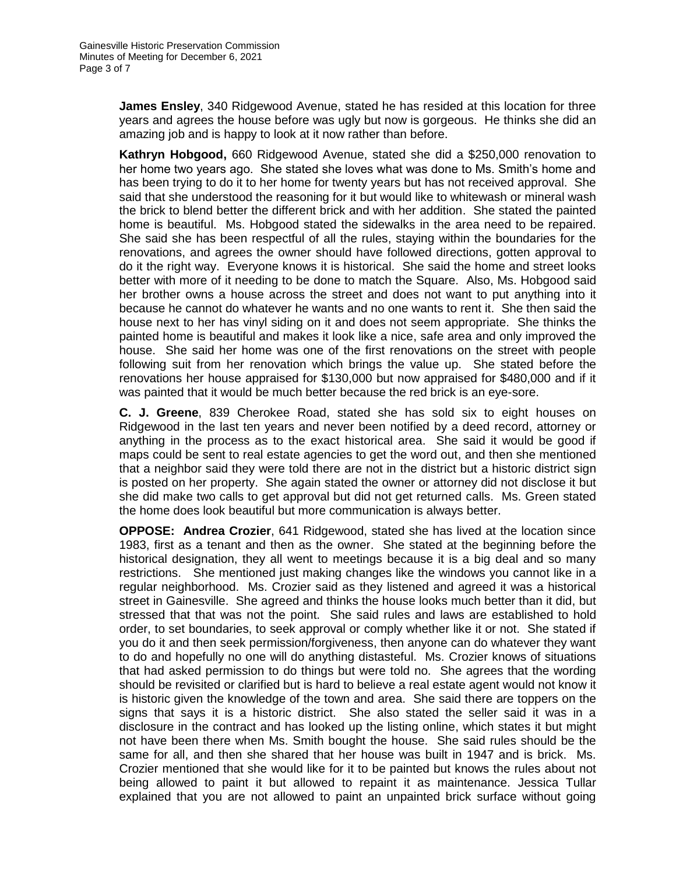**James Ensley**, 340 Ridgewood Avenue, stated he has resided at this location for three years and agrees the house before was ugly but now is gorgeous. He thinks she did an amazing job and is happy to look at it now rather than before.

**Kathryn Hobgood,** 660 Ridgewood Avenue, stated she did a \$250,000 renovation to her home two years ago. She stated she loves what was done to Ms. Smith's home and has been trying to do it to her home for twenty years but has not received approval. She said that she understood the reasoning for it but would like to whitewash or mineral wash the brick to blend better the different brick and with her addition. She stated the painted home is beautiful. Ms. Hobgood stated the sidewalks in the area need to be repaired. She said she has been respectful of all the rules, staying within the boundaries for the renovations, and agrees the owner should have followed directions, gotten approval to do it the right way. Everyone knows it is historical. She said the home and street looks better with more of it needing to be done to match the Square. Also, Ms. Hobgood said her brother owns a house across the street and does not want to put anything into it because he cannot do whatever he wants and no one wants to rent it. She then said the house next to her has vinyl siding on it and does not seem appropriate. She thinks the painted home is beautiful and makes it look like a nice, safe area and only improved the house. She said her home was one of the first renovations on the street with people following suit from her renovation which brings the value up. She stated before the renovations her house appraised for \$130,000 but now appraised for \$480,000 and if it was painted that it would be much better because the red brick is an eye-sore.

**C. J. Greene**, 839 Cherokee Road, stated she has sold six to eight houses on Ridgewood in the last ten years and never been notified by a deed record, attorney or anything in the process as to the exact historical area. She said it would be good if maps could be sent to real estate agencies to get the word out, and then she mentioned that a neighbor said they were told there are not in the district but a historic district sign is posted on her property. She again stated the owner or attorney did not disclose it but she did make two calls to get approval but did not get returned calls. Ms. Green stated the home does look beautiful but more communication is always better.

**OPPOSE: Andrea Crozier**, 641 Ridgewood, stated she has lived at the location since 1983, first as a tenant and then as the owner. She stated at the beginning before the historical designation, they all went to meetings because it is a big deal and so many restrictions. She mentioned just making changes like the windows you cannot like in a regular neighborhood. Ms. Crozier said as they listened and agreed it was a historical street in Gainesville. She agreed and thinks the house looks much better than it did, but stressed that that was not the point. She said rules and laws are established to hold order, to set boundaries, to seek approval or comply whether like it or not. She stated if you do it and then seek permission/forgiveness, then anyone can do whatever they want to do and hopefully no one will do anything distasteful. Ms. Crozier knows of situations that had asked permission to do things but were told no. She agrees that the wording should be revisited or clarified but is hard to believe a real estate agent would not know it is historic given the knowledge of the town and area. She said there are toppers on the signs that says it is a historic district. She also stated the seller said it was in a disclosure in the contract and has looked up the listing online, which states it but might not have been there when Ms. Smith bought the house. She said rules should be the same for all, and then she shared that her house was built in 1947 and is brick. Ms. Crozier mentioned that she would like for it to be painted but knows the rules about not being allowed to paint it but allowed to repaint it as maintenance. Jessica Tullar explained that you are not allowed to paint an unpainted brick surface without going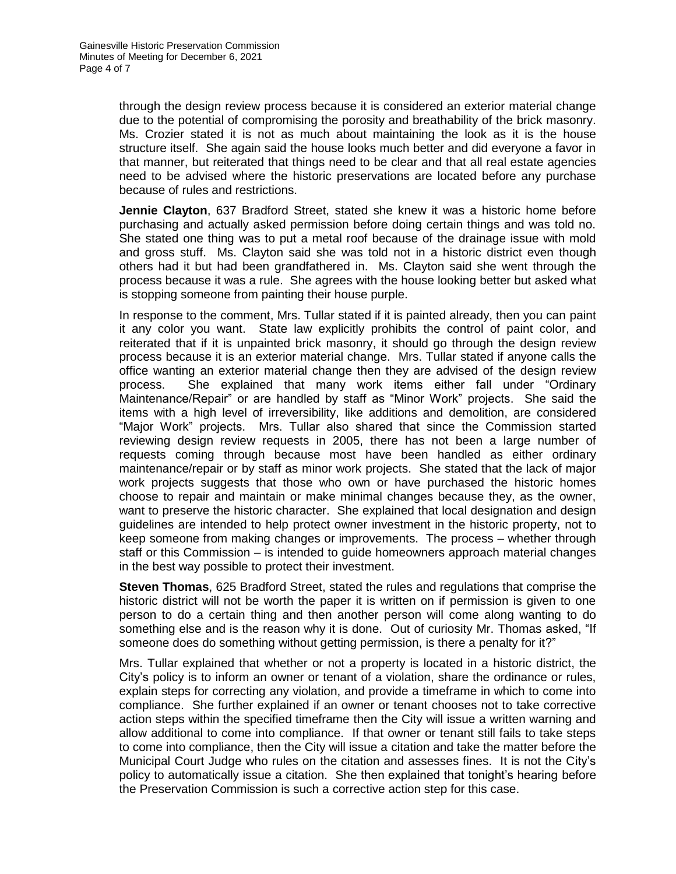through the design review process because it is considered an exterior material change due to the potential of compromising the porosity and breathability of the brick masonry. Ms. Crozier stated it is not as much about maintaining the look as it is the house structure itself. She again said the house looks much better and did everyone a favor in that manner, but reiterated that things need to be clear and that all real estate agencies need to be advised where the historic preservations are located before any purchase because of rules and restrictions.

**Jennie Clayton**, 637 Bradford Street, stated she knew it was a historic home before purchasing and actually asked permission before doing certain things and was told no. She stated one thing was to put a metal roof because of the drainage issue with mold and gross stuff. Ms. Clayton said she was told not in a historic district even though others had it but had been grandfathered in. Ms. Clayton said she went through the process because it was a rule. She agrees with the house looking better but asked what is stopping someone from painting their house purple.

In response to the comment, Mrs. Tullar stated if it is painted already, then you can paint it any color you want. State law explicitly prohibits the control of paint color, and reiterated that if it is unpainted brick masonry, it should go through the design review process because it is an exterior material change. Mrs. Tullar stated if anyone calls the office wanting an exterior material change then they are advised of the design review process. She explained that many work items either fall under "Ordinary Maintenance/Repair" or are handled by staff as "Minor Work" projects. She said the items with a high level of irreversibility, like additions and demolition, are considered "Major Work" projects. Mrs. Tullar also shared that since the Commission started reviewing design review requests in 2005, there has not been a large number of requests coming through because most have been handled as either ordinary maintenance/repair or by staff as minor work projects. She stated that the lack of major work projects suggests that those who own or have purchased the historic homes choose to repair and maintain or make minimal changes because they, as the owner, want to preserve the historic character. She explained that local designation and design guidelines are intended to help protect owner investment in the historic property, not to keep someone from making changes or improvements. The process – whether through staff or this Commission – is intended to guide homeowners approach material changes in the best way possible to protect their investment.

**Steven Thomas**, 625 Bradford Street, stated the rules and regulations that comprise the historic district will not be worth the paper it is written on if permission is given to one person to do a certain thing and then another person will come along wanting to do something else and is the reason why it is done. Out of curiosity Mr. Thomas asked, "If someone does do something without getting permission, is there a penalty for it?"

Mrs. Tullar explained that whether or not a property is located in a historic district, the City's policy is to inform an owner or tenant of a violation, share the ordinance or rules, explain steps for correcting any violation, and provide a timeframe in which to come into compliance. She further explained if an owner or tenant chooses not to take corrective action steps within the specified timeframe then the City will issue a written warning and allow additional to come into compliance. If that owner or tenant still fails to take steps to come into compliance, then the City will issue a citation and take the matter before the Municipal Court Judge who rules on the citation and assesses fines. It is not the City's policy to automatically issue a citation. She then explained that tonight's hearing before the Preservation Commission is such a corrective action step for this case.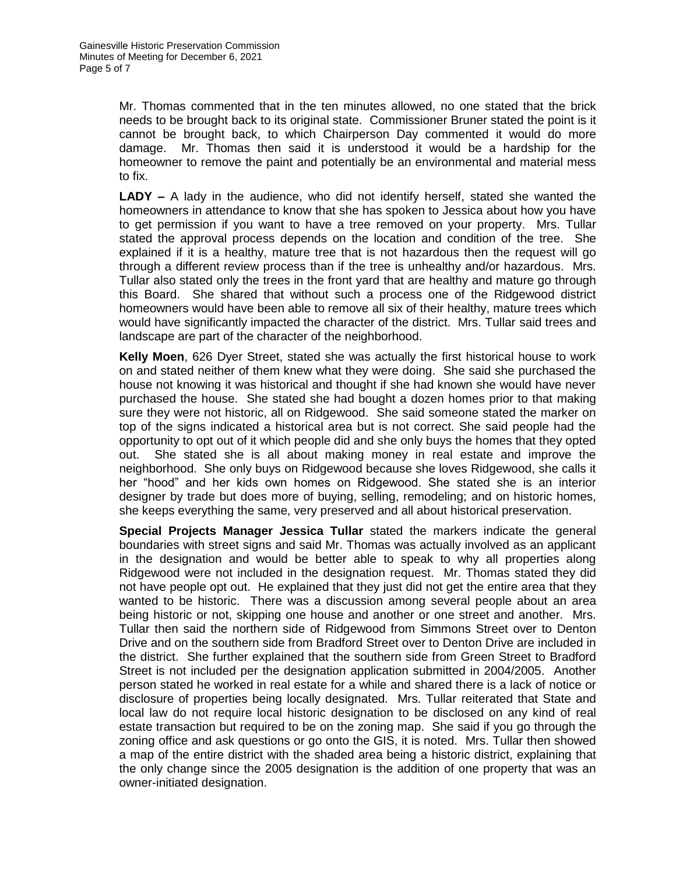Mr. Thomas commented that in the ten minutes allowed, no one stated that the brick needs to be brought back to its original state. Commissioner Bruner stated the point is it cannot be brought back, to which Chairperson Day commented it would do more damage. Mr. Thomas then said it is understood it would be a hardship for the homeowner to remove the paint and potentially be an environmental and material mess to fix.

**LADY –** A lady in the audience, who did not identify herself, stated she wanted the homeowners in attendance to know that she has spoken to Jessica about how you have to get permission if you want to have a tree removed on your property. Mrs. Tullar stated the approval process depends on the location and condition of the tree. She explained if it is a healthy, mature tree that is not hazardous then the request will go through a different review process than if the tree is unhealthy and/or hazardous. Mrs. Tullar also stated only the trees in the front yard that are healthy and mature go through this Board. She shared that without such a process one of the Ridgewood district homeowners would have been able to remove all six of their healthy, mature trees which would have significantly impacted the character of the district. Mrs. Tullar said trees and landscape are part of the character of the neighborhood.

**Kelly Moen**, 626 Dyer Street, stated she was actually the first historical house to work on and stated neither of them knew what they were doing. She said she purchased the house not knowing it was historical and thought if she had known she would have never purchased the house. She stated she had bought a dozen homes prior to that making sure they were not historic, all on Ridgewood. She said someone stated the marker on top of the signs indicated a historical area but is not correct. She said people had the opportunity to opt out of it which people did and she only buys the homes that they opted out. She stated she is all about making money in real estate and improve the neighborhood. She only buys on Ridgewood because she loves Ridgewood, she calls it her "hood" and her kids own homes on Ridgewood. She stated she is an interior designer by trade but does more of buying, selling, remodeling; and on historic homes, she keeps everything the same, very preserved and all about historical preservation.

**Special Projects Manager Jessica Tullar** stated the markers indicate the general boundaries with street signs and said Mr. Thomas was actually involved as an applicant in the designation and would be better able to speak to why all properties along Ridgewood were not included in the designation request. Mr. Thomas stated they did not have people opt out. He explained that they just did not get the entire area that they wanted to be historic. There was a discussion among several people about an area being historic or not, skipping one house and another or one street and another. Mrs. Tullar then said the northern side of Ridgewood from Simmons Street over to Denton Drive and on the southern side from Bradford Street over to Denton Drive are included in the district. She further explained that the southern side from Green Street to Bradford Street is not included per the designation application submitted in 2004/2005. Another person stated he worked in real estate for a while and shared there is a lack of notice or disclosure of properties being locally designated. Mrs. Tullar reiterated that State and local law do not require local historic designation to be disclosed on any kind of real estate transaction but required to be on the zoning map. She said if you go through the zoning office and ask questions or go onto the GIS, it is noted. Mrs. Tullar then showed a map of the entire district with the shaded area being a historic district, explaining that the only change since the 2005 designation is the addition of one property that was an owner-initiated designation.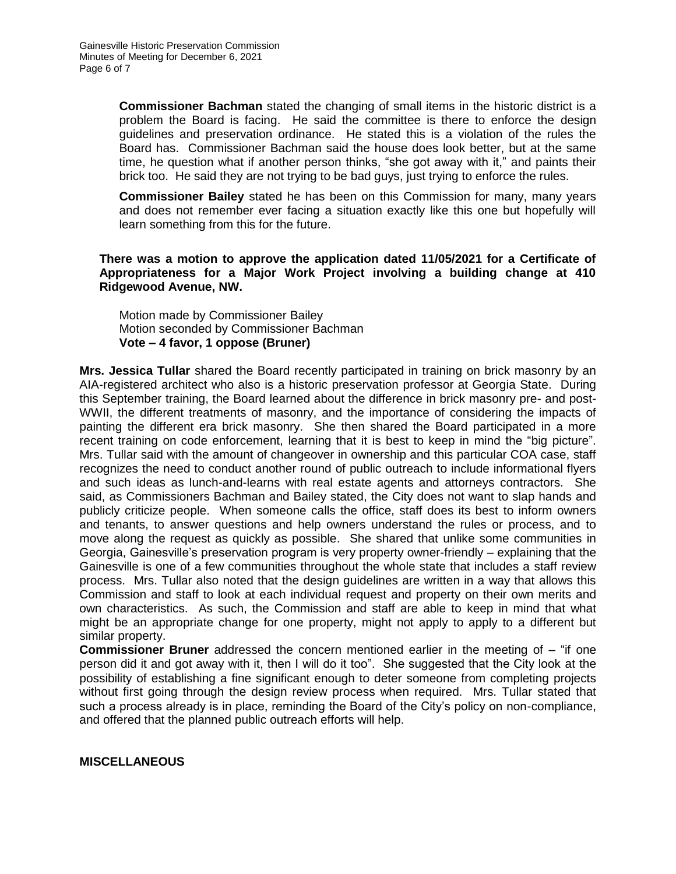**Commissioner Bachman** stated the changing of small items in the historic district is a problem the Board is facing. He said the committee is there to enforce the design guidelines and preservation ordinance. He stated this is a violation of the rules the Board has. Commissioner Bachman said the house does look better, but at the same time, he question what if another person thinks, "she got away with it," and paints their brick too. He said they are not trying to be bad guys, just trying to enforce the rules.

**Commissioner Bailey** stated he has been on this Commission for many, many years and does not remember ever facing a situation exactly like this one but hopefully will learn something from this for the future.

## **There was a motion to approve the application dated 11/05/2021 for a Certificate of Appropriateness for a Major Work Project involving a building change at 410 Ridgewood Avenue, NW.**

Motion made by Commissioner Bailey Motion seconded by Commissioner Bachman **Vote – 4 favor, 1 oppose (Bruner)**

**Mrs. Jessica Tullar** shared the Board recently participated in training on brick masonry by an AIA-registered architect who also is a historic preservation professor at Georgia State. During this September training, the Board learned about the difference in brick masonry pre- and post-WWII, the different treatments of masonry, and the importance of considering the impacts of painting the different era brick masonry. She then shared the Board participated in a more recent training on code enforcement, learning that it is best to keep in mind the "big picture". Mrs. Tullar said with the amount of changeover in ownership and this particular COA case, staff recognizes the need to conduct another round of public outreach to include informational flyers and such ideas as lunch-and-learns with real estate agents and attorneys contractors. She said, as Commissioners Bachman and Bailey stated, the City does not want to slap hands and publicly criticize people. When someone calls the office, staff does its best to inform owners and tenants, to answer questions and help owners understand the rules or process, and to move along the request as quickly as possible. She shared that unlike some communities in Georgia, Gainesville's preservation program is very property owner-friendly – explaining that the Gainesville is one of a few communities throughout the whole state that includes a staff review process. Mrs. Tullar also noted that the design guidelines are written in a way that allows this Commission and staff to look at each individual request and property on their own merits and own characteristics. As such, the Commission and staff are able to keep in mind that what might be an appropriate change for one property, might not apply to apply to a different but similar property.

**Commissioner Bruner** addressed the concern mentioned earlier in the meeting of – "if one person did it and got away with it, then I will do it too". She suggested that the City look at the possibility of establishing a fine significant enough to deter someone from completing projects without first going through the design review process when required. Mrs. Tullar stated that such a process already is in place, reminding the Board of the City's policy on non-compliance, and offered that the planned public outreach efforts will help.

### **MISCELLANEOUS**